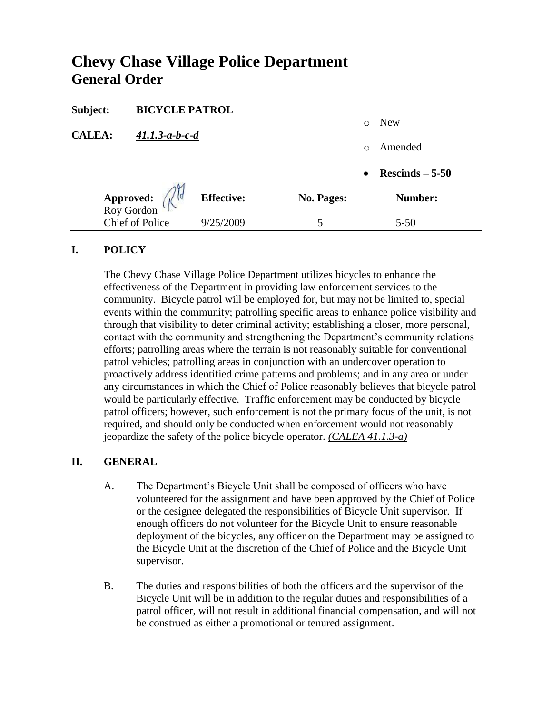# **Chevy Chase Village Police Department General Order**

| Subject:                                                           | <b>BICYCLE PATROL</b> |                   |            |           |                   |
|--------------------------------------------------------------------|-----------------------|-------------------|------------|-----------|-------------------|
|                                                                    |                       |                   |            | $\circ$   | New               |
| <b>CALEA:</b><br>$41.1.3 - a - b - c - d$                          |                       |                   | $\bigcirc$ | Amended   |                   |
|                                                                    |                       |                   |            | $\bullet$ | $Rescinds - 5-50$ |
| <b>Approved:</b> $\left(\begin{matrix} 1 \\ 1 \end{matrix}\right)$ |                       | <b>Effective:</b> | No. Pages: |           | Number:           |
| <b>Chief of Police</b>                                             |                       | 9/25/2009         |            |           | $5 - 50$          |

#### **I. POLICY**

The Chevy Chase Village Police Department utilizes bicycles to enhance the effectiveness of the Department in providing law enforcement services to the community. Bicycle patrol will be employed for, but may not be limited to, special events within the community; patrolling specific areas to enhance police visibility and through that visibility to deter criminal activity; establishing a closer, more personal, contact with the community and strengthening the Department's community relations efforts; patrolling areas where the terrain is not reasonably suitable for conventional patrol vehicles; patrolling areas in conjunction with an undercover operation to proactively address identified crime patterns and problems; and in any area or under any circumstances in which the Chief of Police reasonably believes that bicycle patrol would be particularly effective. Traffic enforcement may be conducted by bicycle patrol officers; however, such enforcement is not the primary focus of the unit, is not required, and should only be conducted when enforcement would not reasonably jeopardize the safety of the police bicycle operator. *(CALEA 41.1.3-a)*

#### **II. GENERAL**

- A. The Department's Bicycle Unit shall be composed of officers who have volunteered for the assignment and have been approved by the Chief of Police or the designee delegated the responsibilities of Bicycle Unit supervisor. If enough officers do not volunteer for the Bicycle Unit to ensure reasonable deployment of the bicycles, any officer on the Department may be assigned to the Bicycle Unit at the discretion of the Chief of Police and the Bicycle Unit supervisor.
- B. The duties and responsibilities of both the officers and the supervisor of the Bicycle Unit will be in addition to the regular duties and responsibilities of a patrol officer, will not result in additional financial compensation, and will not be construed as either a promotional or tenured assignment.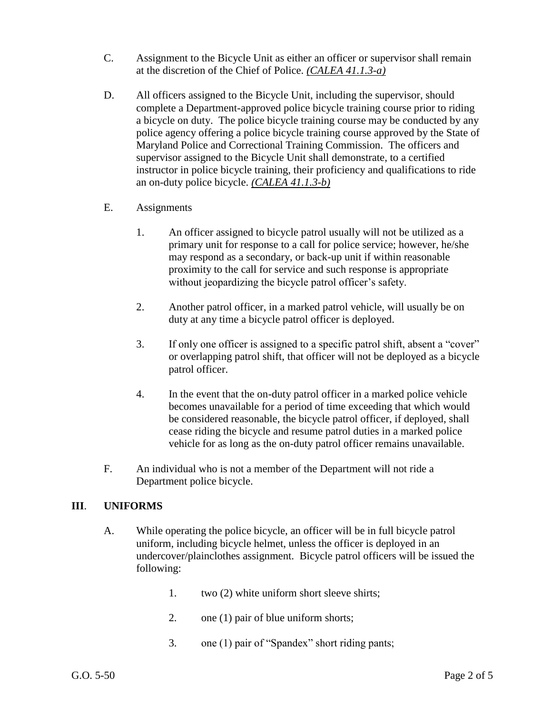- C. Assignment to the Bicycle Unit as either an officer or supervisor shall remain at the discretion of the Chief of Police. *(CALEA 41.1.3-a)*
- D. All officers assigned to the Bicycle Unit, including the supervisor, should complete a Department-approved police bicycle training course prior to riding a bicycle on duty. The police bicycle training course may be conducted by any police agency offering a police bicycle training course approved by the State of Maryland Police and Correctional Training Commission. The officers and supervisor assigned to the Bicycle Unit shall demonstrate, to a certified instructor in police bicycle training, their proficiency and qualifications to ride an on-duty police bicycle. *(CALEA 41.1.3-b)*
- E. Assignments
	- 1. An officer assigned to bicycle patrol usually will not be utilized as a primary unit for response to a call for police service; however, he/she may respond as a secondary, or back-up unit if within reasonable proximity to the call for service and such response is appropriate without jeopardizing the bicycle patrol officer's safety.
	- 2. Another patrol officer, in a marked patrol vehicle, will usually be on duty at any time a bicycle patrol officer is deployed.
	- 3. If only one officer is assigned to a specific patrol shift, absent a "cover" or overlapping patrol shift, that officer will not be deployed as a bicycle patrol officer.
	- 4. In the event that the on-duty patrol officer in a marked police vehicle becomes unavailable for a period of time exceeding that which would be considered reasonable, the bicycle patrol officer, if deployed, shall cease riding the bicycle and resume patrol duties in a marked police vehicle for as long as the on-duty patrol officer remains unavailable.
- F. An individual who is not a member of the Department will not ride a Department police bicycle.

## **III**. **UNIFORMS**

- A. While operating the police bicycle, an officer will be in full bicycle patrol uniform, including bicycle helmet, unless the officer is deployed in an undercover/plainclothes assignment. Bicycle patrol officers will be issued the following:
	- 1. two (2) white uniform short sleeve shirts;
	- 2. one (1) pair of blue uniform shorts;
	- 3. one (1) pair of "Spandex" short riding pants;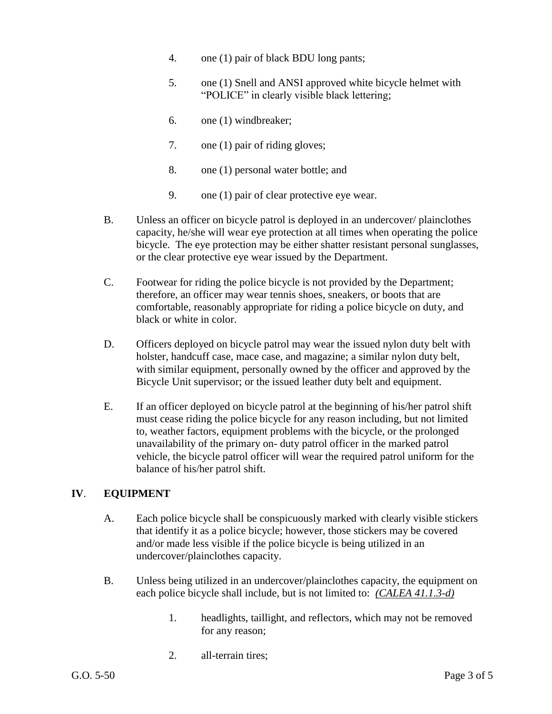- 4. one (1) pair of black BDU long pants;
- 5. one (1) Snell and ANSI approved white bicycle helmet with "POLICE" in clearly visible black lettering;
- 6. one (1) windbreaker;
- 7. one (1) pair of riding gloves;
- 8. one (1) personal water bottle; and
- 9. one (1) pair of clear protective eye wear.
- B. Unless an officer on bicycle patrol is deployed in an undercover/ plainclothes capacity, he/she will wear eye protection at all times when operating the police bicycle. The eye protection may be either shatter resistant personal sunglasses, or the clear protective eye wear issued by the Department.
- C. Footwear for riding the police bicycle is not provided by the Department; therefore, an officer may wear tennis shoes, sneakers, or boots that are comfortable, reasonably appropriate for riding a police bicycle on duty, and black or white in color.
- D. Officers deployed on bicycle patrol may wear the issued nylon duty belt with holster, handcuff case, mace case, and magazine; a similar nylon duty belt, with similar equipment, personally owned by the officer and approved by the Bicycle Unit supervisor; or the issued leather duty belt and equipment.
- E. If an officer deployed on bicycle patrol at the beginning of his/her patrol shift must cease riding the police bicycle for any reason including, but not limited to, weather factors, equipment problems with the bicycle, or the prolonged unavailability of the primary on- duty patrol officer in the marked patrol vehicle, the bicycle patrol officer will wear the required patrol uniform for the balance of his/her patrol shift.

## **IV**. **EQUIPMENT**

- A. Each police bicycle shall be conspicuously marked with clearly visible stickers that identify it as a police bicycle; however, those stickers may be covered and/or made less visible if the police bicycle is being utilized in an undercover/plainclothes capacity.
- B. Unless being utilized in an undercover/plainclothes capacity, the equipment on each police bicycle shall include, but is not limited to: *(CALEA 41.1.3-d)*
	- 1. headlights, taillight, and reflectors, which may not be removed for any reason;
	- 2. all-terrain tires;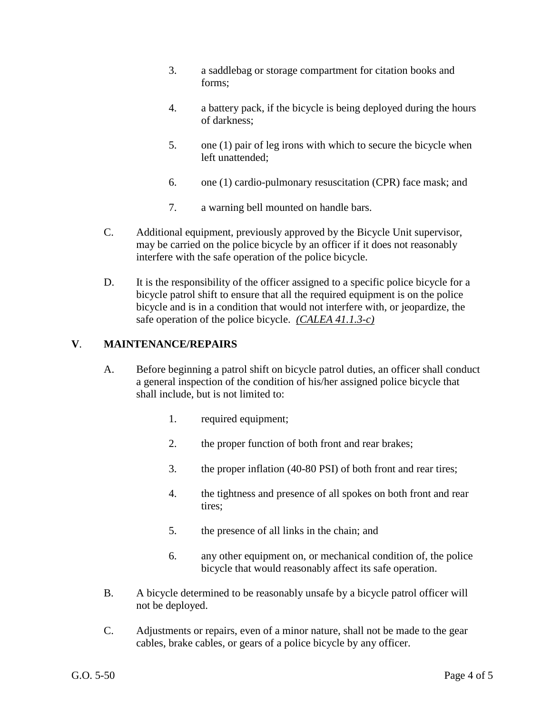- 3. a saddlebag or storage compartment for citation books and forms;
- 4. a battery pack, if the bicycle is being deployed during the hours of darkness;
- 5. one (1) pair of leg irons with which to secure the bicycle when left unattended;
- 6. one (1) cardio-pulmonary resuscitation (CPR) face mask; and
- 7. a warning bell mounted on handle bars.
- C. Additional equipment, previously approved by the Bicycle Unit supervisor, may be carried on the police bicycle by an officer if it does not reasonably interfere with the safe operation of the police bicycle.
- D. It is the responsibility of the officer assigned to a specific police bicycle for a bicycle patrol shift to ensure that all the required equipment is on the police bicycle and is in a condition that would not interfere with, or jeopardize, the safe operation of the police bicycle. *(CALEA 41.1.3-c)*

#### **V**. **MAINTENANCE/REPAIRS**

- A. Before beginning a patrol shift on bicycle patrol duties, an officer shall conduct a general inspection of the condition of his/her assigned police bicycle that shall include, but is not limited to:
	- 1. required equipment;
	- 2. the proper function of both front and rear brakes;
	- 3. the proper inflation (40-80 PSI) of both front and rear tires;
	- 4. the tightness and presence of all spokes on both front and rear tires;
	- 5. the presence of all links in the chain; and
	- 6. any other equipment on, or mechanical condition of, the police bicycle that would reasonably affect its safe operation.
- B. A bicycle determined to be reasonably unsafe by a bicycle patrol officer will not be deployed.
- C. Adjustments or repairs, even of a minor nature, shall not be made to the gear cables, brake cables, or gears of a police bicycle by any officer.